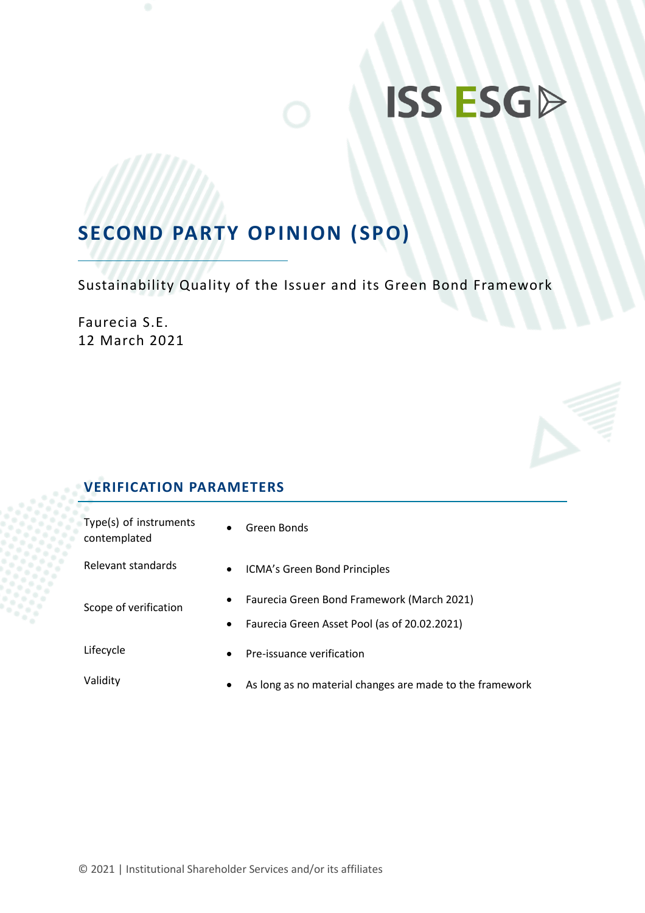# **ISS ESGD**

## **SECOND PARTY OPINION (SPO)**

Sustainability Quality of the Issuer and its Green Bond Framework

Faurecia S.E. 12 March 2021

## **VERIFICATION PARAMETERS**

| Type(s) of instruments<br>contemplated | $\bullet$              | Green Bonds                                                                                |  |
|----------------------------------------|------------------------|--------------------------------------------------------------------------------------------|--|
| Relevant standards                     | $\bullet$              | ICMA's Green Bond Principles                                                               |  |
| Scope of verification                  | $\bullet$<br>$\bullet$ | Faurecia Green Bond Framework (March 2021)<br>Faurecia Green Asset Pool (as of 20.02.2021) |  |
| Lifecycle                              | $\bullet$              | Pre-issuance verification                                                                  |  |
| Validity                               | $\bullet$              | As long as no material changes are made to the framework                                   |  |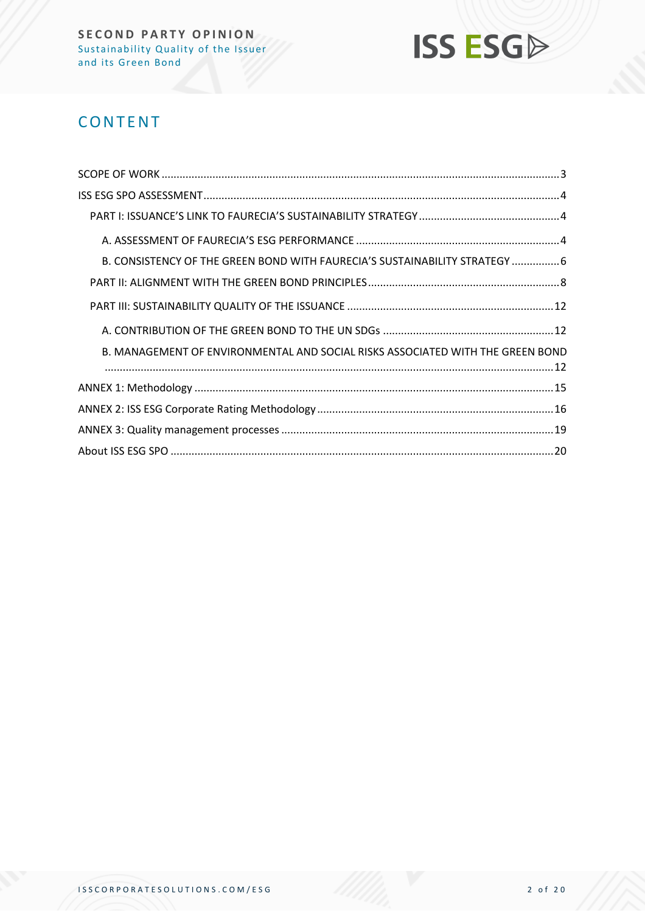

## **CONTENT**

| B. CONSISTENCY OF THE GREEN BOND WITH FAURECIA'S SUSTAINABILITY STRATEGY  6    |  |
|--------------------------------------------------------------------------------|--|
|                                                                                |  |
|                                                                                |  |
|                                                                                |  |
| B. MANAGEMENT OF ENVIRONMENTAL AND SOCIAL RISKS ASSOCIATED WITH THE GREEN BOND |  |
|                                                                                |  |
|                                                                                |  |
|                                                                                |  |
|                                                                                |  |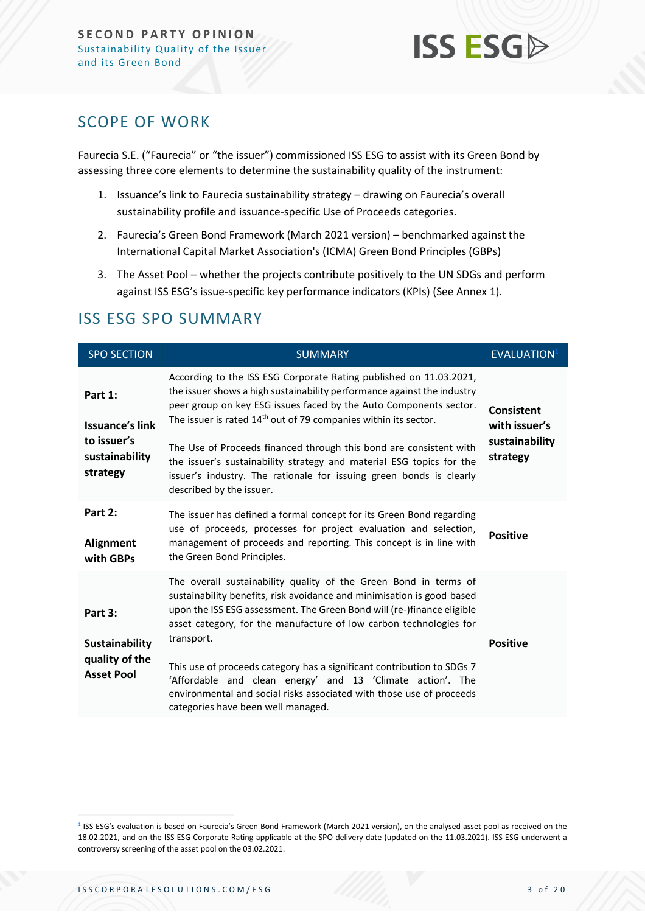

## <span id="page-2-0"></span>SCOPE OF WORK

Faurecia S.E. ("Faurecia" or "the issuer") commissioned ISS ESG to assist with its Green Bond by assessing three core elements to determine the sustainability quality of the instrument:

- 1. Issuance's link to Faurecia sustainability strategy drawing on Faurecia's overall sustainability profile and issuance-specific Use of Proceeds categories.
- 2. Faurecia's Green Bond Framework (March 2021 version) benchmarked against the International Capital Market Association's (ICMA) Green Bond Principles (GBPs)
- 3. The Asset Pool whether the projects contribute positively to the UN SDGs and perform against ISS ESG's issue-specific key performance indicators (KPIs) (See Annex 1).

| <b>SPO SECTION</b>                                                             | <b>SUMMARY</b>                                                                                                                                                                                                                                                                                                                                                                                                                                                                                                                                                 | <b>EVALUATION</b>                                                |
|--------------------------------------------------------------------------------|----------------------------------------------------------------------------------------------------------------------------------------------------------------------------------------------------------------------------------------------------------------------------------------------------------------------------------------------------------------------------------------------------------------------------------------------------------------------------------------------------------------------------------------------------------------|------------------------------------------------------------------|
| Part 1:<br><b>Issuance's link</b><br>to issuer's<br>sustainability<br>strategy | According to the ISS ESG Corporate Rating published on 11.03.2021,<br>the issuer shows a high sustainability performance against the industry<br>peer group on key ESG issues faced by the Auto Components sector.<br>The issuer is rated 14 <sup>th</sup> out of 79 companies within its sector.<br>The Use of Proceeds financed through this bond are consistent with<br>the issuer's sustainability strategy and material ESG topics for the<br>issuer's industry. The rationale for issuing green bonds is clearly<br>described by the issuer.             | <b>Consistent</b><br>with issuer's<br>sustainability<br>strategy |
| Part 2:<br><b>Alignment</b><br>with GBPs                                       | The issuer has defined a formal concept for its Green Bond regarding<br>use of proceeds, processes for project evaluation and selection,<br>management of proceeds and reporting. This concept is in line with<br>the Green Bond Principles.                                                                                                                                                                                                                                                                                                                   | <b>Positive</b>                                                  |
| Part 3:<br><b>Sustainability</b><br>quality of the<br><b>Asset Pool</b>        | The overall sustainability quality of the Green Bond in terms of<br>sustainability benefits, risk avoidance and minimisation is good based<br>upon the ISS ESG assessment. The Green Bond will (re-)finance eligible<br>asset category, for the manufacture of low carbon technologies for<br>transport.<br>This use of proceeds category has a significant contribution to SDGs 7<br>'Affordable and clean energy' and 13 'Climate action'. The<br>environmental and social risks associated with those use of proceeds<br>categories have been well managed. | <b>Positive</b>                                                  |

## ISS ESG SPO SUMMARY

<sup>&</sup>lt;sup>1</sup> ISS ESG's evaluation is based on Faurecia's Green Bond Framework (March 2021 version), on the analysed asset pool as received on the 18.02.2021, and on the ISS ESG Corporate Rating applicable at the SPO delivery date (updated on the 11.03.2021). ISS ESG underwent a controversy screening of the asset pool on the 03.02.2021.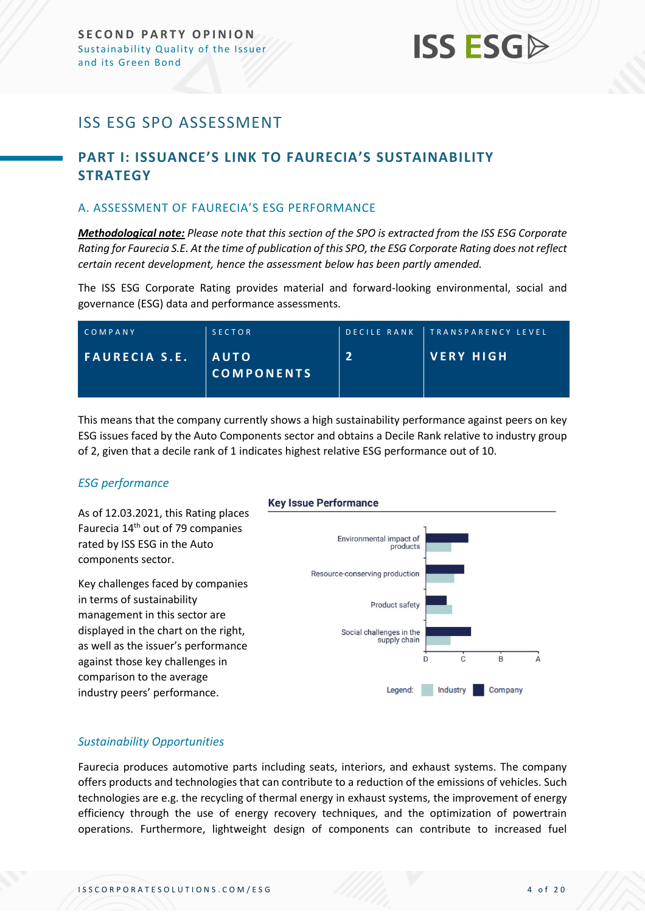## **ISS ESG**

## <span id="page-3-0"></span>ISS ESG SPO ASSESSMENT

## <span id="page-3-1"></span>**PART I: ISSUANCE'S LINK TO FAURECIA'S SUSTAINABILITY STRATEGY**

#### <span id="page-3-2"></span>A. ASSESSMENT OF FAURECIA'S ESG PERFORMANCE

*Methodological note: Please note that this section of the SPO is extracted from the ISS ESG Corporate Rating for Faurecia S.E. At the time of publication of this SPO, the ESG Corporate Rating does not reflect certain recent development, hence the assessment below has been partly amended.* 

The ISS ESG Corporate Rating provides material and forward-looking environmental, social and governance (ESG) data and performance assessments.

| COMPANY              | <b>SECTOR</b>                    |   | DECILE RANK TRANSPARENCY LEVEL |
|----------------------|----------------------------------|---|--------------------------------|
| <b>FAURECIA S.E.</b> | <b>AUTO</b><br><b>COMPONENTS</b> | Э | I VERY HIGH                    |

This means that the company currently shows a high sustainability performance against peers on key ESG issues faced by the Auto Components sector and obtains a Decile Rank relative to industry group of 2, given that a decile rank of 1 indicates highest relative ESG performance out of 10.

#### *ESG performance*

As of 12.03.2021, this Rating places Faurecia 14<sup>th</sup> out of 79 companies rated by ISS ESG in the Auto components sector.

Key challenges faced by companies in terms of sustainability management in this sector are displayed in the chart on the right, as well as the issuer's performance against those key challenges in comparison to the average industry peers' performance.

## **Key Issue Performance** Environmental impact of products Resource-conserving production Product safety Social challenges in the supply chain  $\dot{\mathsf{B}}$  $\mathbf{C}$ D Legend: Industry Company

#### *Sustainability Opportunities*

Faurecia produces automotive parts including seats, interiors, and exhaust systems. The company offers products and technologies that can contribute to a reduction of the emissions of vehicles. Such technologies are e.g. the recycling of thermal energy in exhaust systems, the improvement of energy efficiency through the use of energy recovery techniques, and the optimization of powertrain operations. Furthermore, lightweight design of components can contribute to increased fuel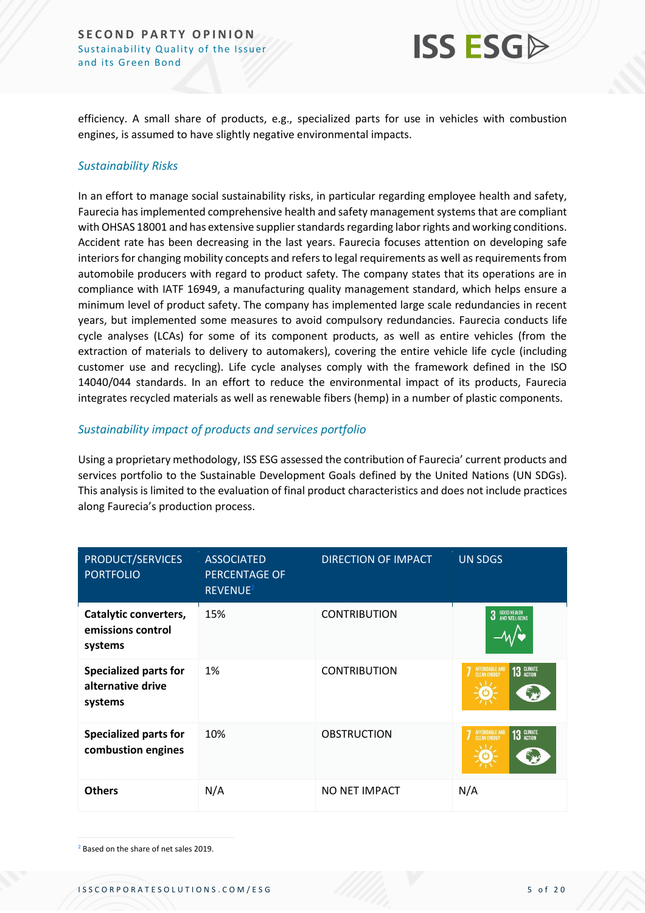

efficiency. A small share of products, e.g., specialized parts for use in vehicles with combustion engines, is assumed to have slightly negative environmental impacts.

#### *Sustainability Risks*

In an effort to manage social sustainability risks, in particular regarding employee health and safety, Faurecia has implemented comprehensive health and safety management systems that are compliant with OHSAS 18001 and has extensive supplier standards regarding labor rights and working conditions. Accident rate has been decreasing in the last years. Faurecia focuses attention on developing safe interiors for changing mobility concepts and refers to legal requirements as well as requirements from automobile producers with regard to product safety. The company states that its operations are in compliance with IATF 16949, a manufacturing quality management standard, which helps ensure a minimum level of product safety. The company has implemented large scale redundancies in recent years, but implemented some measures to avoid compulsory redundancies. Faurecia conducts life cycle analyses (LCAs) for some of its component products, as well as entire vehicles (from the extraction of materials to delivery to automakers), covering the entire vehicle life cycle (including customer use and recycling). Life cycle analyses comply with the framework defined in the ISO 14040/044 standards. In an effort to reduce the environmental impact of its products, Faurecia integrates recycled materials as well as renewable fibers (hemp) in a number of plastic components.

#### *Sustainability impact of products and services portfolio*

Using a proprietary methodology, ISS ESG assessed the contribution of Faurecia' current products and services portfolio to the Sustainable Development Goals defined by the United Nations (UN SDGs). This analysis is limited to the evaluation of final product characteristics and does not include practices along Faurecia's production process.

| PRODUCT/SERVICES<br><b>PORTFOLIO</b>                         | <b>ASSOCIATED</b><br><b>PERCENTAGE OF</b><br>REVENUE <sup>2</sup> | <b>DIRECTION OF IMPACT</b> | <b>UN SDGS</b>               |
|--------------------------------------------------------------|-------------------------------------------------------------------|----------------------------|------------------------------|
| Catalytic converters,<br>emissions control<br>systems        | 15%                                                               | <b>CONTRIBUTION</b>        | 3 GOOD HEALTH                |
| <b>Specialized parts for</b><br>alternative drive<br>systems | 1%                                                                | <b>CONTRIBUTION</b>        | 13 GLIMATE<br>AFFORDABLE AND |
| <b>Specialized parts for</b><br>combustion engines           | 10%                                                               | <b>OBSTRUCTION</b>         | 13 GLIMATE<br>AFFORDABLE AND |
| <b>Others</b>                                                | N/A                                                               | NO NET IMPACT              | N/A                          |

<sup>2</sup> Based on the share of net sales 2019.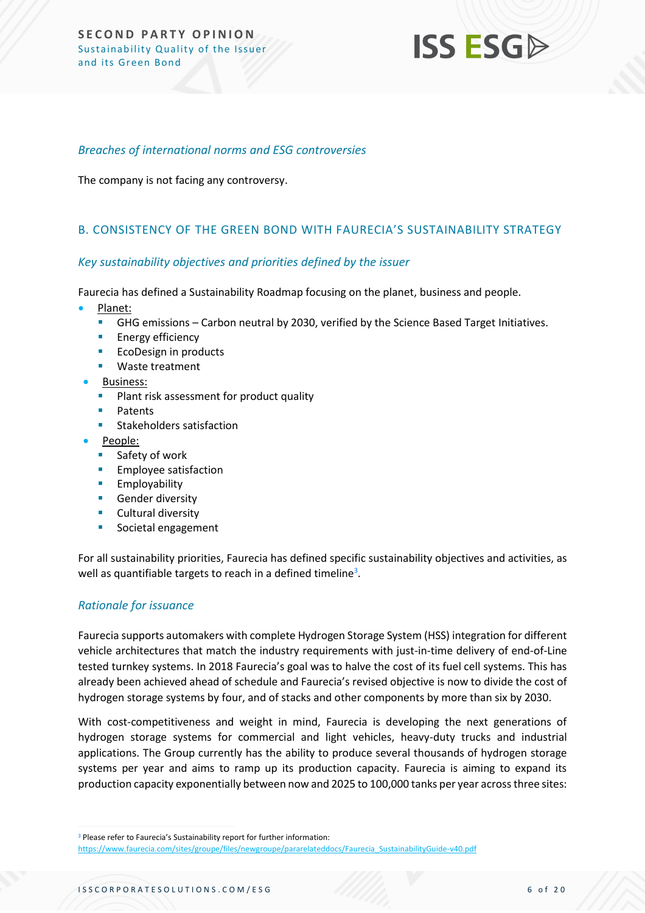## **ISS ESG**

#### *Breaches of international norms and ESG controversies*

The company is not facing any controversy.

#### <span id="page-5-0"></span>B. CONSISTENCY OF THE GREEN BOND WITH FAURECIA'S SUSTAINABILITY STRATEGY

#### *Key sustainability objectives and priorities defined by the issuer*

Faurecia has defined a Sustainability Roadmap focusing on the planet, business and people.

- Planet:
	- GHG emissions Carbon neutral by 2030, verified by the Science Based Target Initiatives.
	- **Energy efficiency**
	- EcoDesign in products
	- Waste treatment
	- Business:
		- Plant risk assessment for product quality
		- **Patents**
		- Stakeholders satisfaction
- People:
	- Safety of work
	- **Employee satisfaction**
	- Employability
	- Gender diversity
	- Cultural diversity
	- Societal engagement

For all sustainability priorities, Faurecia has defined specific sustainability objectives and activities, as well as quantifiable targets to reach in a defined timeline<sup>3</sup>.

#### *Rationale for issuance*

Faurecia supports automakers with complete Hydrogen Storage System (HSS) integration for different vehicle architectures that match the industry requirements with just-in-time delivery of end-of-Line tested turnkey systems. In 2018 Faurecia's goal was to halve the cost of its fuel cell systems. This has already been achieved ahead of schedule and Faurecia's revised objective is now to divide the cost of hydrogen storage systems by four, and of stacks and other components by more than six by 2030.

With cost-competitiveness and weight in mind, Faurecia is developing the next generations of hydrogen storage systems for commercial and light vehicles, heavy-duty trucks and industrial applications. The Group currently has the ability to produce several thousands of hydrogen storage systems per year and aims to ramp up its production capacity. Faurecia is aiming to expand its production capacity exponentially between now and 2025 to 100,000 tanks per year across three sites:

<sup>&</sup>lt;sup>3</sup> Please refer to Faurecia's Sustainability report for further information:

[https://www.faurecia.com/sites/groupe/files/newgroupe/pararelateddocs/Faurecia\\_SustainabilityGuide-v40.pdf](https://www.faurecia.com/sites/groupe/files/newgroupe/pararelateddocs/Faurecia_SustainabilityGuide-v40.pdf)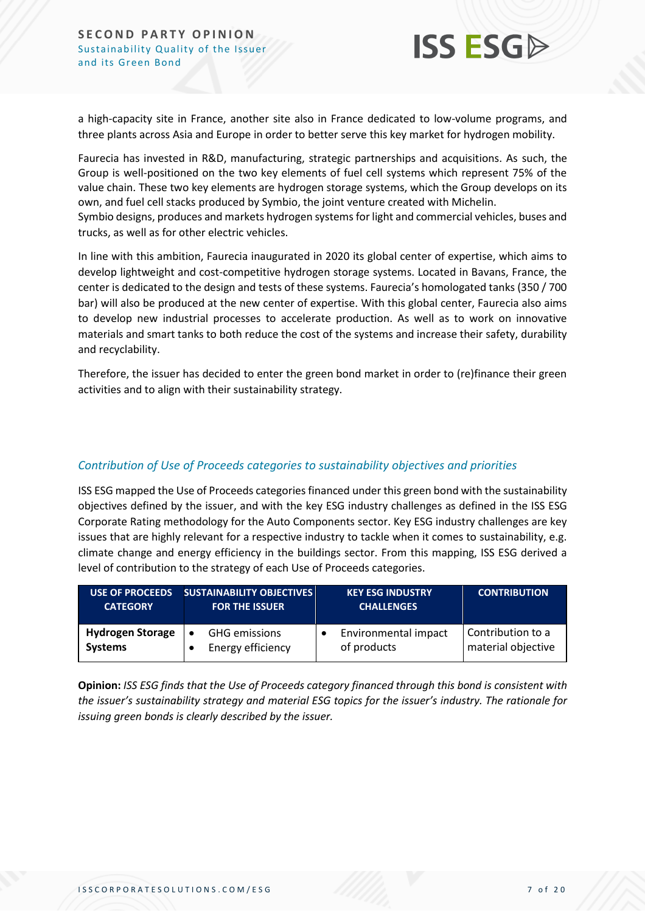

a high-capacity site in France, another site also in France dedicated to low-volume programs, and three plants across Asia and Europe in order to better serve this key market for hydrogen mobility.

Faurecia has invested in R&D, manufacturing, strategic partnerships and acquisitions. As such, the Group is well-positioned on the two key elements of fuel cell systems which represent 75% of the value chain. These two key elements are hydrogen storage systems, which the Group develops on its own, and fuel cell stacks produced by Symbio, the joint venture created with Michelin. Symbio designs, produces and markets hydrogen systems for light and commercial vehicles, buses and

trucks, as well as for other electric vehicles.

In line with this ambition, Faurecia inaugurated in 2020 its global center of expertise, which aims to develop lightweight and cost-competitive hydrogen storage systems. Located in Bavans, France, the center is dedicated to the design and tests of these systems. Faurecia's homologated tanks (350 / 700 bar) will also be produced at the new center of expertise. With this global center, Faurecia also aims to develop new industrial processes to accelerate production. As well as to work on innovative materials and smart tanks to both reduce the cost of the systems and increase their safety, durability and recyclability.

Therefore, the issuer has decided to enter the green bond market in order to (re)finance their green activities and to align with their sustainability strategy.

#### *Contribution of Use of Proceeds categories to sustainability objectives and priorities*

ISS ESG mapped the Use of Proceeds categories financed under this green bond with the sustainability objectives defined by the issuer, and with the key ESG industry challenges as defined in the ISS ESG Corporate Rating methodology for the Auto Components sector. Key ESG industry challenges are key issues that are highly relevant for a respective industry to tackle when it comes to sustainability, e.g. climate change and energy efficiency in the buildings sector. From this mapping, ISS ESG derived a level of contribution to the strategy of each Use of Proceeds categories.

| <b>USE OF PROCEEDS</b>  | <b>SUSTAINABILITY OBJECTIVES</b> | <b>KEY ESG INDUSTRY</b> | <b>CONTRIBUTION</b> |
|-------------------------|----------------------------------|-------------------------|---------------------|
| <b>CATEGORY</b>         | <b>FOR THE ISSUER</b>            | <b>CHALLENGES</b>       |                     |
| <b>Hydrogen Storage</b> | <b>GHG</b> emissions             | Environmental impact    | Contribution to a   |
| <b>Systems</b>          | Energy efficiency                | of products             | material objective  |

**Opinion:** *ISS ESG finds that the Use of Proceeds category financed through this bond is consistent with the issuer's sustainability strategy and material ESG topics for the issuer's industry. The rationale for issuing green bonds is clearly described by the issuer.*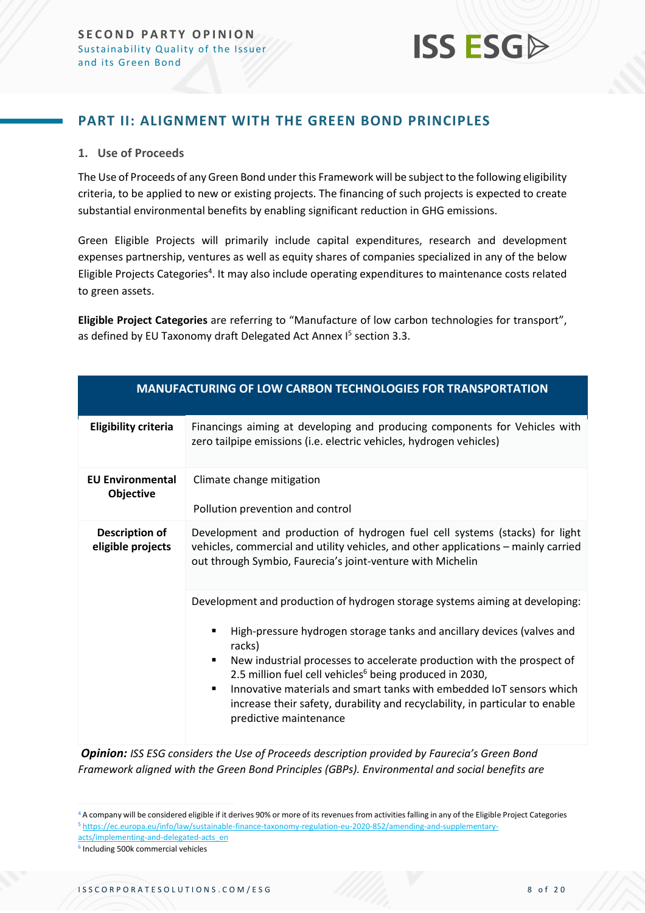

#### <span id="page-7-0"></span>**PART II: ALIGNMENT WITH THE GREEN BOND PRINCIPLES**

#### **1. Use of Proceeds**

The Use of Proceeds of any Green Bond under this Framework will be subject to the following eligibility criteria, to be applied to new or existing projects. The financing of such projects is expected to create substantial environmental benefits by enabling significant reduction in GHG emissions.

Green Eligible Projects will primarily include capital expenditures, research and development expenses partnership, ventures as well as equity shares of companies specialized in any of the below Eligible Projects Categories<sup>4</sup>. It may also include operating expenditures to maintenance costs related to green assets.

**Eligible Project Categories** are referring to "Manufacture of low carbon technologies for transport", as defined by EU Taxonomy draft Delegated Act Annex I 5 section 3.3.

|                                            | <b>MANUFACTURING OF LOW CARBON TECHNOLOGIES FOR TRANSPORTATION</b>                                                                                                                                                                                                                                                                                                                                                                                                                                            |
|--------------------------------------------|---------------------------------------------------------------------------------------------------------------------------------------------------------------------------------------------------------------------------------------------------------------------------------------------------------------------------------------------------------------------------------------------------------------------------------------------------------------------------------------------------------------|
| <b>Eligibility criteria</b>                | Financings aiming at developing and producing components for Vehicles with<br>zero tailpipe emissions (i.e. electric vehicles, hydrogen vehicles)                                                                                                                                                                                                                                                                                                                                                             |
| <b>EU Environmental</b><br>Objective       | Climate change mitigation<br>Pollution prevention and control                                                                                                                                                                                                                                                                                                                                                                                                                                                 |
| <b>Description of</b><br>eligible projects | Development and production of hydrogen fuel cell systems (stacks) for light<br>vehicles, commercial and utility vehicles, and other applications - mainly carried<br>out through Symbio, Faurecia's joint-venture with Michelin                                                                                                                                                                                                                                                                               |
|                                            | Development and production of hydrogen storage systems aiming at developing:<br>High-pressure hydrogen storage tanks and ancillary devices (valves and<br>racks)<br>New industrial processes to accelerate production with the prospect of<br>٠<br>2.5 million fuel cell vehicles <sup>6</sup> being produced in 2030,<br>Innovative materials and smart tanks with embedded IoT sensors which<br>٠<br>increase their safety, durability and recyclability, in particular to enable<br>predictive maintenance |

*Opinion: ISS ESG considers the Use of Proceeds description provided by Faurecia's Green Bond Framework aligned with the Green Bond Principles (GBPs). Environmental and social benefits are* 

<sup>4</sup> A company will be considered eligible if it derives 90% or more of its revenues from activities falling in any of the Eligible Project Categories <sup>5</sup> [https://ec.europa.eu/info/law/sustainable-finance-taxonomy-regulation-eu-2020-852/amending-and-supplementary](https://ec.europa.eu/info/law/sustainable-finance-taxonomy-regulation-eu-2020-852/amending-and-supplementary-acts/implementing-and-delegated-acts_en)[acts/implementing-and-delegated-acts\\_en](https://ec.europa.eu/info/law/sustainable-finance-taxonomy-regulation-eu-2020-852/amending-and-supplementary-acts/implementing-and-delegated-acts_en)

<sup>6</sup> Including 500k commercial vehicles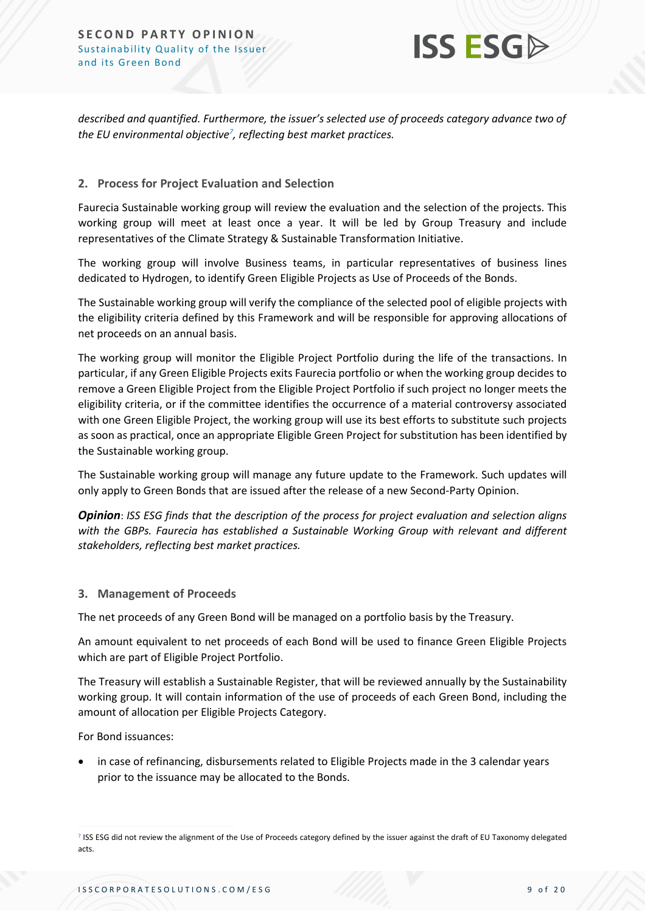

*described and quantified. Furthermore, the issuer's selected use of proceeds category advance two of the EU environmental objective<sup>7</sup> , reflecting best market practices.*

#### **2. Process for Project Evaluation and Selection**

Faurecia Sustainable working group will review the evaluation and the selection of the projects. This working group will meet at least once a year. It will be led by Group Treasury and include representatives of the Climate Strategy & Sustainable Transformation Initiative.

The working group will involve Business teams, in particular representatives of business lines dedicated to Hydrogen, to identify Green Eligible Projects as Use of Proceeds of the Bonds.

The Sustainable working group will verify the compliance of the selected pool of eligible projects with the eligibility criteria defined by this Framework and will be responsible for approving allocations of net proceeds on an annual basis.

The working group will monitor the Eligible Project Portfolio during the life of the transactions. In particular, if any Green Eligible Projects exits Faurecia portfolio or when the working group decides to remove a Green Eligible Project from the Eligible Project Portfolio if such project no longer meets the eligibility criteria, or if the committee identifies the occurrence of a material controversy associated with one Green Eligible Project, the working group will use its best efforts to substitute such projects as soon as practical, once an appropriate Eligible Green Project for substitution has been identified by the Sustainable working group.

The Sustainable working group will manage any future update to the Framework. Such updates will only apply to Green Bonds that are issued after the release of a new Second-Party Opinion.

*Opinion*: *ISS ESG finds that the description of the process for project evaluation and selection aligns with the GBPs. Faurecia has established a Sustainable Working Group with relevant and different stakeholders, reflecting best market practices.*

#### **3. Management of Proceeds**

The net proceeds of any Green Bond will be managed on a portfolio basis by the Treasury.

An amount equivalent to net proceeds of each Bond will be used to finance Green Eligible Projects which are part of Eligible Project Portfolio.

The Treasury will establish a Sustainable Register, that will be reviewed annually by the Sustainability working group. It will contain information of the use of proceeds of each Green Bond, including the amount of allocation per Eligible Projects Category.

For Bond issuances:

• in case of refinancing, disbursements related to Eligible Projects made in the 3 calendar years prior to the issuance may be allocated to the Bonds.

<sup>&</sup>lt;sup>7</sup> ISS ESG did not review the alignment of the Use of Proceeds category defined by the issuer against the draft of EU Taxonomy delegated acts.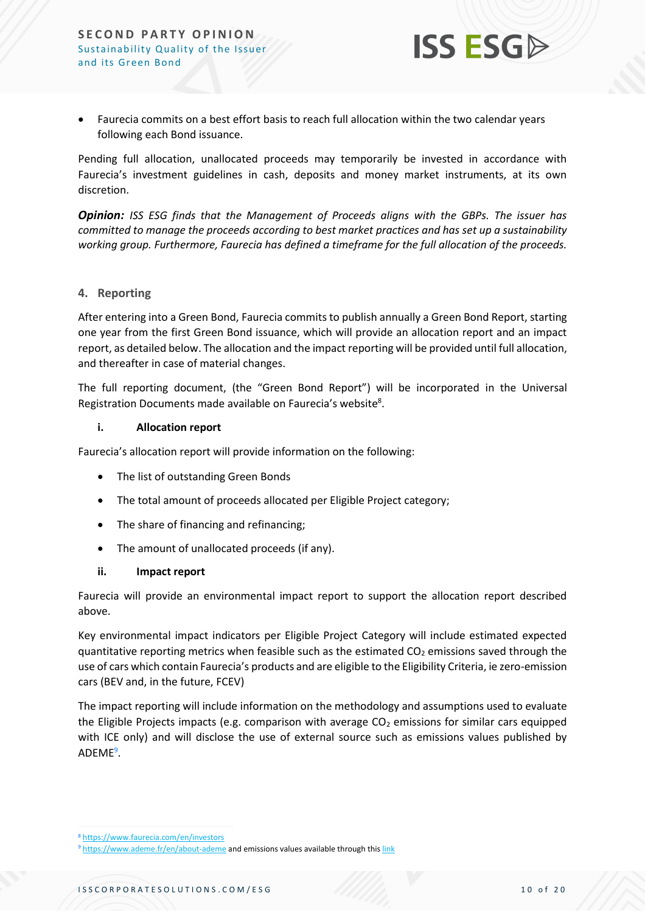

• Faurecia commits on a best effort basis to reach full allocation within the two calendar years following each Bond issuance.

Pending full allocation, unallocated proceeds may temporarily be invested in accordance with Faurecia's investment guidelines in cash, deposits and money market instruments, at its own discretion.

*Opinion: ISS ESG finds that the Management of Proceeds aligns with the GBPs. The issuer has committed to manage the proceeds according to best market practices and has set up a sustainability working group. Furthermore, Faurecia has defined a timeframe for the full allocation of the proceeds.* 

#### **4. Reporting**

After entering into a Green Bond, Faurecia commits to publish annually a Green Bond Report, starting one year from the first Green Bond issuance, which will provide an allocation report and an impact report, as detailed below. The allocation and the impact reporting will be provided until full allocation, and thereafter in case of material changes.

The full reporting document, (the "Green Bond Report") will be incorporated in the Universal Registration Documents made available on Faurecia's website<sup>8</sup>.

#### **i. Allocation report**

Faurecia's allocation report will provide information on the following:

- The list of outstanding Green Bonds
- The total amount of proceeds allocated per Eligible Project category;
- The share of financing and refinancing;
- The amount of unallocated proceeds (if any).

#### **ii. Impact report**

Faurecia will provide an environmental impact report to support the allocation report described above.

Key environmental impact indicators per Eligible Project Category will include estimated expected quantitative reporting metrics when feasible such as the estimated  $CO<sub>2</sub>$  emissions saved through the use of cars which contain Faurecia's products and are eligible to the Eligibility Criteria, ie zero-emission cars (BEV and, in the future, FCEV)

The impact reporting will include information on the methodology and assumptions used to evaluate the Eligible Projects impacts (e.g. comparison with average  $CO<sub>2</sub>$  emissions for similar cars equipped with ICE only) and will disclose the use of external source such as emissions values published by ADEME<sup>9</sup>.

<sup>8</sup> <https://www.faurecia.com/en/investors>

<sup>&</sup>lt;sup>9</sup> <https://www.ademe.fr/en/about-ademe> and emissions values available through this [link](https://carlabelling.ademe.fr/recherche?searchString=&co2=&brand=&model=&category=&range=&transmission=&price=0%2C500000&maxconso=&energy=0%2C7&RechercherL=Rechercher&offset=50&orderby%5b%5d=co%20asc&searchString=&co2=)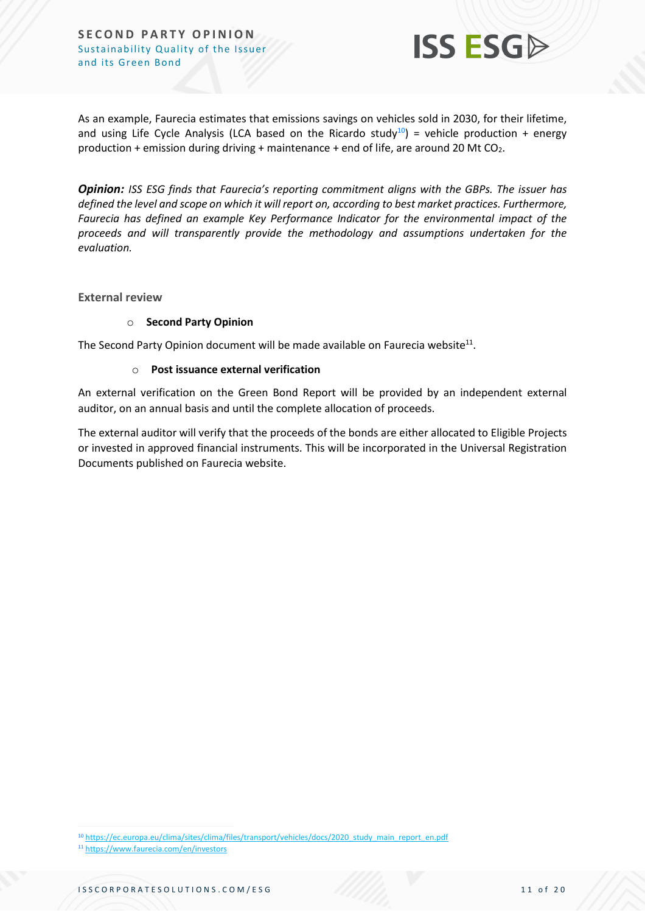

As an example, Faurecia estimates that emissions savings on vehicles sold in 2030, for their lifetime, and using Life Cycle Analysis (LCA based on the Ricardo study<sup>10</sup>) = vehicle production + energy production + emission during driving + maintenance + end of life, are around 20 Mt  $CO<sub>2</sub>$ .

*Opinion: ISS ESG finds that Faurecia's reporting commitment aligns with the GBPs. The issuer has defined the level and scope on which it will report on, according to best market practices. Furthermore, Faurecia has defined an example Key Performance Indicator for the environmental impact of the proceeds and will transparently provide the methodology and assumptions undertaken for the evaluation.*

**External review**

#### o **Second Party Opinion**

The Second Party Opinion document will be made available on Faurecia website $^{\text{11}}$ .

#### o **Post issuance external verification**

An external verification on the Green Bond Report will be provided by an independent external auditor, on an annual basis and until the complete allocation of proceeds.

The external auditor will verify that the proceeds of the bonds are either allocated to Eligible Projects or invested in approved financial instruments. This will be incorporated in the Universal Registration Documents published on Faurecia website.

<sup>11</sup> <https://www.faurecia.com/en/investors>



<sup>10</sup> [https://ec.europa.eu/clima/sites/clima/files/transport/vehicles/docs/2020\\_study\\_main\\_report\\_en.pdf](https://ec.europa.eu/clima/sites/clima/files/transport/vehicles/docs/2020_study_main_report_en.pdf)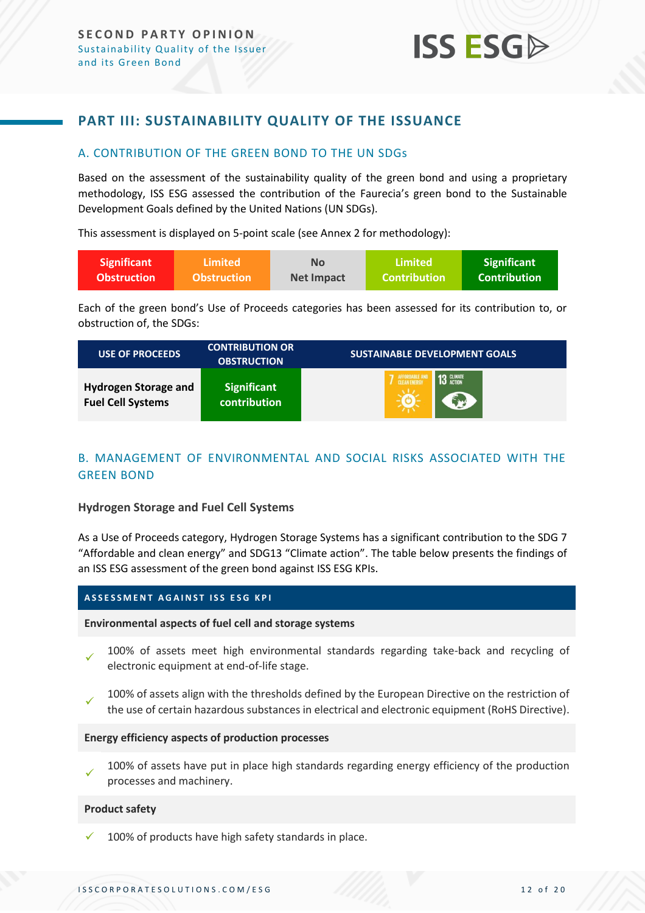#### <span id="page-11-0"></span>**PART III: SUSTAINABILITY QUALITY OF THE ISSUANCE**

#### <span id="page-11-1"></span>A. CONTRIBUTION OF THE GREEN BOND TO THE UN SDGs

Based on the assessment of the sustainability quality of the green bond and using a proprietary methodology, ISS ESG assessed the contribution of the Faurecia's green bond to the Sustainable Development Goals defined by the United Nations (UN SDGs).

This assessment is displayed on 5-point scale (see Annex 2 for methodology):

| <b>Significant</b> | Limited \          | No         | Limited'            | Significant     |
|--------------------|--------------------|------------|---------------------|-----------------|
| <b>Obstruction</b> | <b>Obstruction</b> | Net Impact | <b>Contribution</b> | l Contribution' |

Each of the green bond's Use of Proceeds categories has been assessed for its contribution to, or obstruction of, the SDGs:

| <b>USE OF PROCEEDS</b>                                  | <b>CONTRIBUTION OR</b><br><b>OBSTRUCTION</b> | <b>SUSTAINABLE DEVELOPMENT GOALS</b> |
|---------------------------------------------------------|----------------------------------------------|--------------------------------------|
| <b>Hydrogen Storage and</b><br><b>Fuel Cell Systems</b> | <b>Significant</b><br>contribution           | 7 AFFORDABLE AN<br>13 GLIMATE<br>ラップ |

#### <span id="page-11-2"></span>B. MANAGEMENT OF ENVIRONMENTAL AND SOCIAL RISKS ASSOCIATED WITH THE GREEN BOND

#### **Hydrogen Storage and Fuel Cell Systems**

As a Use of Proceeds category, Hydrogen Storage Systems has a significant contribution to the SDG 7 "Affordable and clean energy" and SDG13 "Climate action". The table below presents the findings of an ISS ESG assessment of the green bond against ISS ESG KPIs.

#### **A S S E S S M E N T A G A I N S T I S S E S G K P I**

#### **Environmental aspects of fuel cell and storage systems**

- ✓ 100% of assets meet high environmental standards regarding take-back and recycling of electronic equipment at end-of-life stage.
- ✓ 100% of assets align with the thresholds defined by the European Directive on the restriction of the use of certain hazardous substances in electrical and electronic equipment (RoHS Directive).

#### **Energy efficiency aspects of production processes**

✓ 100% of assets have put in place high standards regarding energy efficiency of the production processes and machinery.

#### **Product safety**

100% of products have high safety standards in place.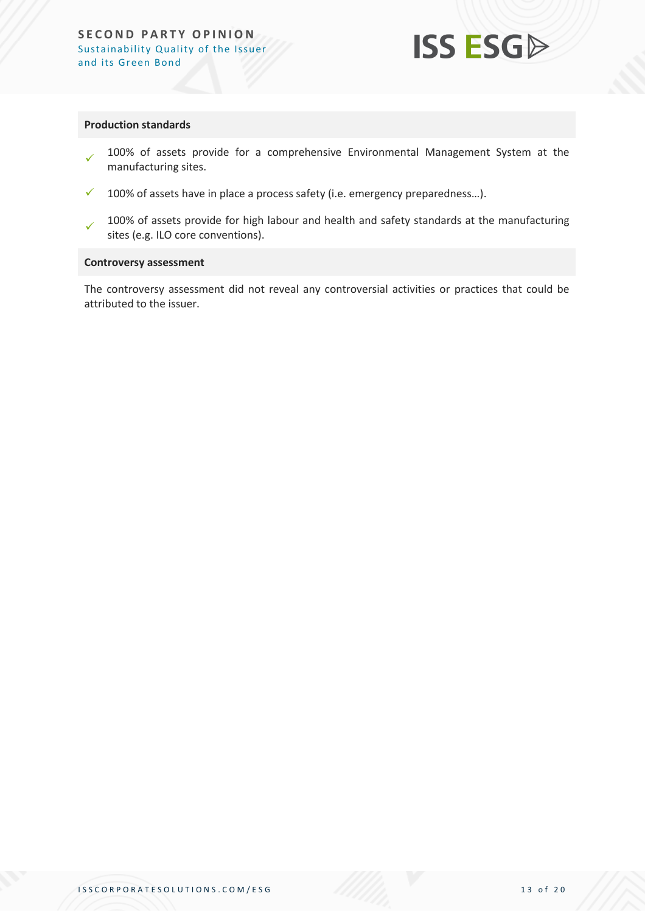

#### **Production standards**

- ✓ 100% of assets provide for a comprehensive Environmental Management System at the manufacturing sites.
- $\checkmark$  100% of assets have in place a process safety (i.e. emergency preparedness...).
- ✓ 100% of assets provide for high labour and health and safety standards at the manufacturing sites (e.g. ILO core conventions).

#### **Controversy assessment**

The controversy assessment did not reveal any controversial activities or practices that could be attributed to the issuer.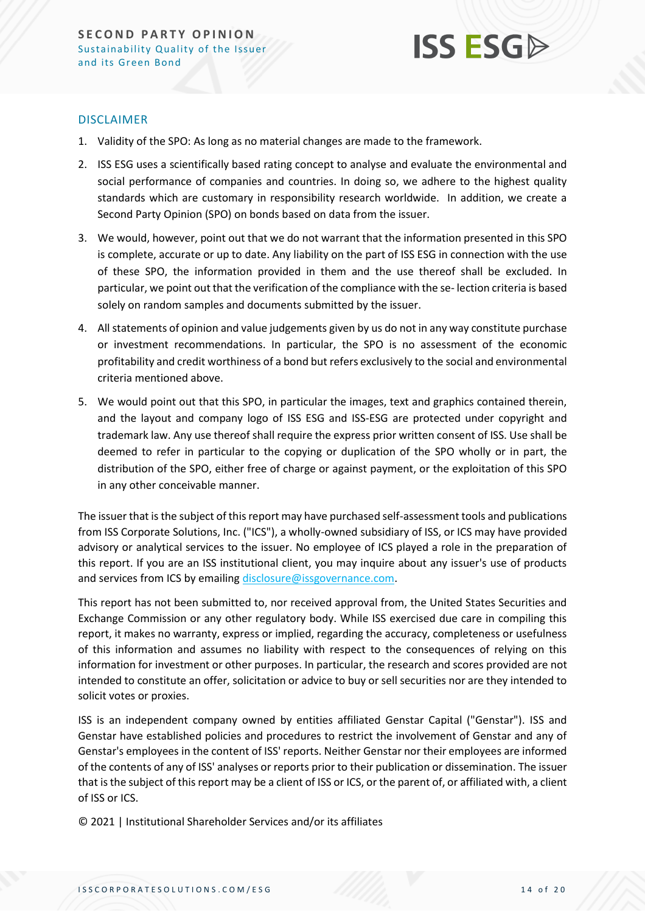

#### DISCLAIMER

- 1. Validity of the SPO: As long as no material changes are made to the framework.
- 2. ISS ESG uses a scientifically based rating concept to analyse and evaluate the environmental and social performance of companies and countries. In doing so, we adhere to the highest quality standards which are customary in responsibility research worldwide. In addition, we create a Second Party Opinion (SPO) on bonds based on data from the issuer.
- 3. We would, however, point out that we do not warrant that the information presented in this SPO is complete, accurate or up to date. Any liability on the part of ISS ESG in connection with the use of these SPO, the information provided in them and the use thereof shall be excluded. In particular, we point out that the verification of the compliance with the se- lection criteria is based solely on random samples and documents submitted by the issuer.
- 4. All statements of opinion and value judgements given by us do not in any way constitute purchase or investment recommendations. In particular, the SPO is no assessment of the economic profitability and credit worthiness of a bond but refers exclusively to the social and environmental criteria mentioned above.
- 5. We would point out that this SPO, in particular the images, text and graphics contained therein, and the layout and company logo of ISS ESG and ISS-ESG are protected under copyright and trademark law. Any use thereof shall require the express prior written consent of ISS. Use shall be deemed to refer in particular to the copying or duplication of the SPO wholly or in part, the distribution of the SPO, either free of charge or against payment, or the exploitation of this SPO in any other conceivable manner.

The issuer that is the subject of this report may have purchased self-assessment tools and publications from ISS Corporate Solutions, Inc. ("ICS"), a wholly-owned subsidiary of ISS, or ICS may have provided advisory or analytical services to the issuer. No employee of ICS played a role in the preparation of this report. If you are an ISS institutional client, you may inquire about any issuer's use of products and services from ICS by emailin[g disclosure@issgovernance.com.](mailto:disclosure@issgovernance.com)

This report has not been submitted to, nor received approval from, the United States Securities and Exchange Commission or any other regulatory body. While ISS exercised due care in compiling this report, it makes no warranty, express or implied, regarding the accuracy, completeness or usefulness of this information and assumes no liability with respect to the consequences of relying on this information for investment or other purposes. In particular, the research and scores provided are not intended to constitute an offer, solicitation or advice to buy or sell securities nor are they intended to solicit votes or proxies.

ISS is an independent company owned by entities affiliated Genstar Capital ("Genstar"). ISS and Genstar have established policies and procedures to restrict the involvement of Genstar and any of Genstar's employees in the content of ISS' reports. Neither Genstar nor their employees are informed of the contents of any of ISS' analyses or reports prior to their publication or dissemination. The issuer that is the subject of this report may be a client of ISS or ICS, or the parent of, or affiliated with, a client of ISS or ICS.

© 2021 | Institutional Shareholder Services and/or its affiliates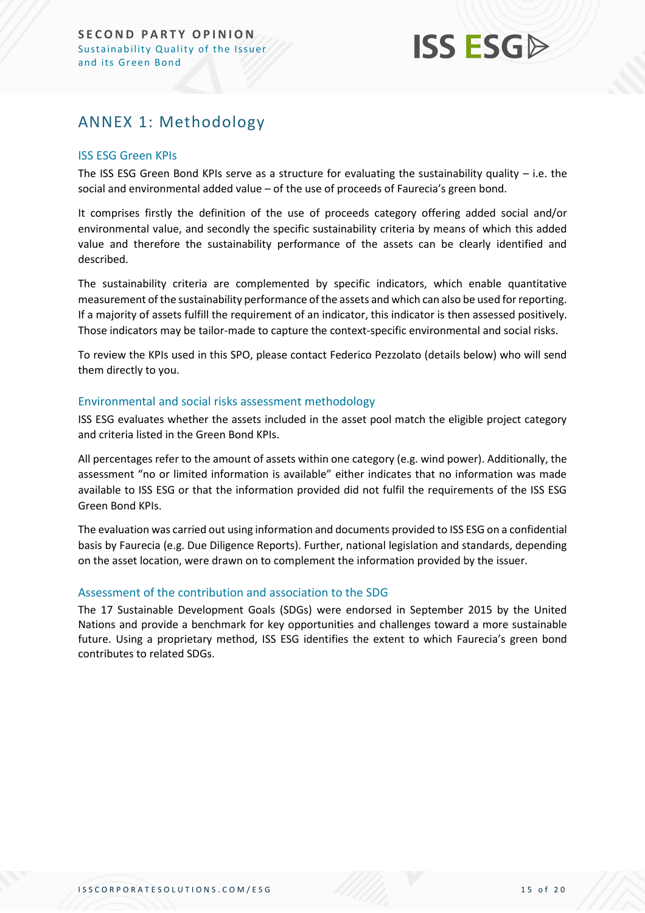## **ISS ESG**

## <span id="page-14-0"></span>ANNEX 1: Methodology

#### ISS ESG Green KPIs

The ISS ESG Green Bond KPIs serve as a structure for evaluating the sustainability quality – i.e. the social and environmental added value – of the use of proceeds of Faurecia's green bond.

It comprises firstly the definition of the use of proceeds category offering added social and/or environmental value, and secondly the specific sustainability criteria by means of which this added value and therefore the sustainability performance of the assets can be clearly identified and described.

The sustainability criteria are complemented by specific indicators, which enable quantitative measurement of the sustainability performance of the assets and which can also be used for reporting. If a majority of assets fulfill the requirement of an indicator, this indicator is then assessed positively. Those indicators may be tailor-made to capture the context-specific environmental and social risks.

To review the KPIs used in this SPO, please contact Federico Pezzolato (details below) who will send them directly to you.

#### Environmental and social risks assessment methodology

ISS ESG evaluates whether the assets included in the asset pool match the eligible project category and criteria listed in the Green Bond KPIs.

All percentages refer to the amount of assets within one category (e.g. wind power). Additionally, the assessment "no or limited information is available" either indicates that no information was made available to ISS ESG or that the information provided did not fulfil the requirements of the ISS ESG Green Bond KPIs.

The evaluation was carried out using information and documents provided to ISS ESG on a confidential basis by Faurecia (e.g. Due Diligence Reports). Further, national legislation and standards, depending on the asset location, were drawn on to complement the information provided by the issuer.

#### Assessment of the contribution and association to the SDG

The 17 Sustainable Development Goals (SDGs) were endorsed in September 2015 by the United Nations and provide a benchmark for key opportunities and challenges toward a more sustainable future. Using a proprietary method, ISS ESG identifies the extent to which Faurecia's green bond contributes to related SDGs.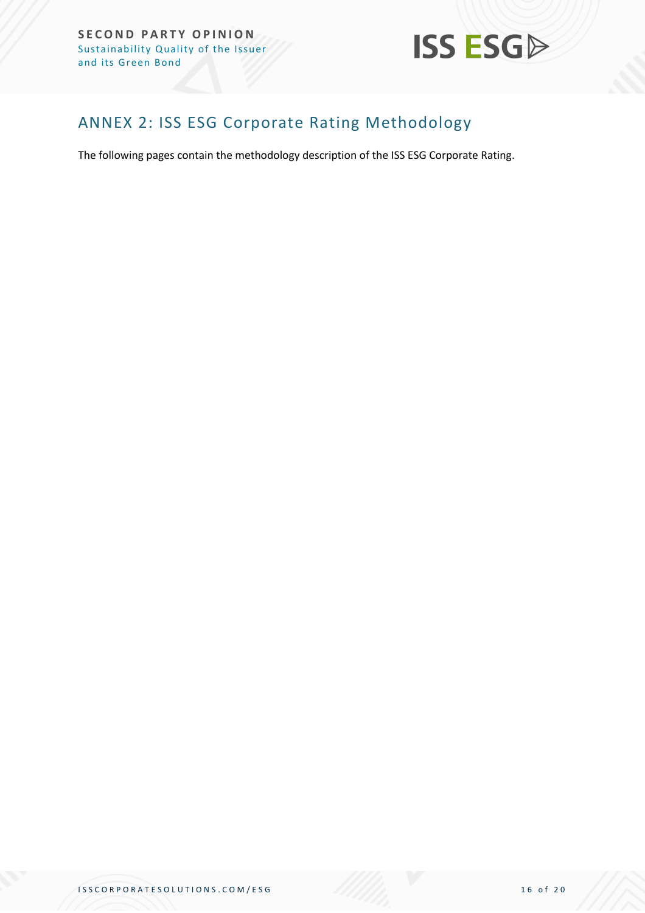

## <span id="page-15-0"></span>ANNEX 2: ISS ESG Corporate Rating Methodology

The following pages contain the methodology description of the ISS ESG Corporate Rating.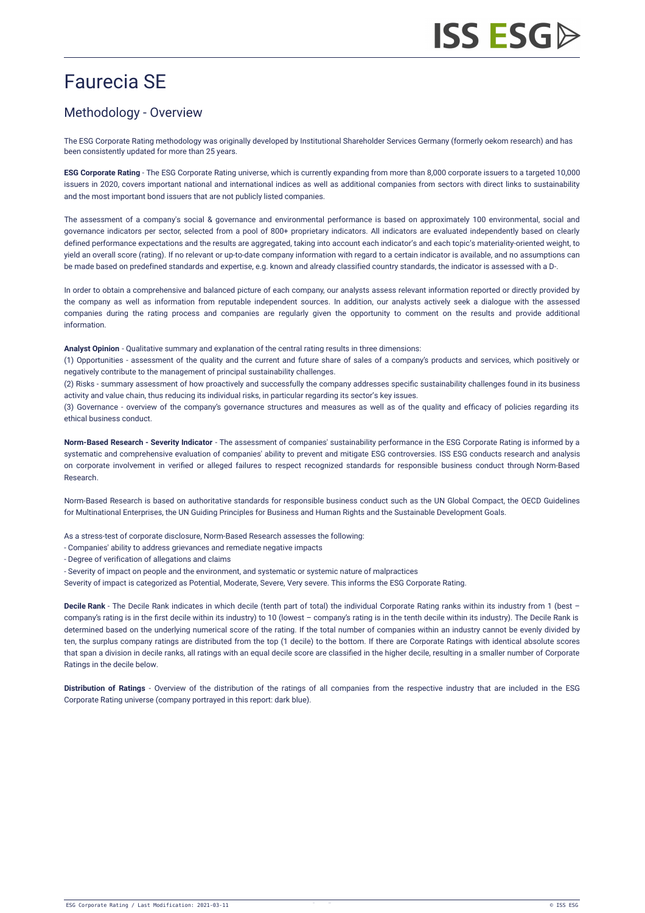## Faurecia SE

### Methodology - Overview

The ESG Corporate Rating methodology was originally developed by Institutional Shareholder Services Germany (formerly oekom research) and has been consistently updated for more than 25 years.

**ESG Corporate Rating** - The ESG Corporate Rating universe, which is currently expanding from more than 8,000 corporate issuers to a targeted 10,000 issuers in 2020, covers important national and international indices as well as additional companies from sectors with direct links to sustainability and the most important bond issuers that are not publicly listed companies.

The assessment of a company's social & governance and environmental performance is based on approximately 100 environmental, social and governance indicators per sector, selected from a pool of 800+ proprietary indicators. All indicators are evaluated independently based on clearly defined performance expectations and the results are aggregated, taking into account each indicator's and each topic's materiality-oriented weight, to yield an overall score (rating). If no relevant or up-to-date company information with regard to a certain indicator is available, and no assumptions can be made based on predefined standards and expertise, e.g. known and already classified country standards, the indicator is assessed with a D-.

In order to obtain a comprehensive and balanced picture of each company, our analysts assess relevant information reported or directly provided by the company as well as information from reputable independent sources. In addition, our analysts actively seek a dialogue with the assessed companies during the rating process and companies are regularly given the opportunity to comment on the results and provide additional information.

**Analyst Opinion** - Qualitative summary and explanation of the central rating results in three dimensions:

(1) Opportunities - assessment of the quality and the current and future share of sales of a company's products and services, which positively or negatively contribute to the management of principal sustainability challenges.

(2) Risks - summary assessment of how proactively and successfully the company addresses specific sustainability challenges found in its business activity and value chain, thus reducing its individual risks, in particular regarding its sector's key issues.

(3) Governance - overview of the company's governance structures and measures as well as of the quality and efficacy of policies regarding its ethical business conduct.

**Norm-Based Research - Severity Indicator** - The assessment of companies' sustainability performance in the ESG Corporate Rating is informed by a systematic and comprehensive evaluation of companies' ability to prevent and mitigate ESG controversies. ISS ESG conducts research and analysis on corporate involvement in verified or alleged failures to respect recognized standards for responsible business conduct through [Norm-Based](https://www.issgovernance.com/esg/screening/esg-screening-solutions/#nbr_techdoc_download) Research.

Norm-Based Research is based on authoritative standards for responsible business conduct such as the UN Global Compact, the OECD Guidelines for Multinational Enterprises, the UN Guiding Principles for Business and Human Rights and the Sustainable Development Goals.

As a stress-test of corporate disclosure, Norm-Based Research assesses the following:

- Companies' ability to address grievances and remediate negative impacts
- Degree of verification of allegations and claims
- Severity of impact on people and the environment, and systematic or systemic nature of malpractices
- Severity of impact is categorized as Potential, Moderate, Severe, Very severe. This informs the ESG Corporate Rating.

**Decile Rank** - The Decile Rank indicates in which decile (tenth part of total) the individual Corporate Rating ranks within its industry from 1 (best – company's rating is in the first decile within its industry) to 10 (lowest – company's rating is in the tenth decile within its industry). The Decile Rank is determined based on the underlying numerical score of the rating. If the total number of companies within an industry cannot be evenly divided by ten, the surplus company ratings are distributed from the top (1 decile) to the bottom. If there are Corporate Ratings with identical absolute scores that span a division in decile ranks, all ratings with an equal decile score are classified in the higher decile, resulting in a smaller number of Corporate Ratings in the decile below.

**Distribution of Ratings** - Overview of the distribution of the ratings of all companies from the respective industry that are included in the ESG Corporate Rating universe (company portrayed in this report: dark blue).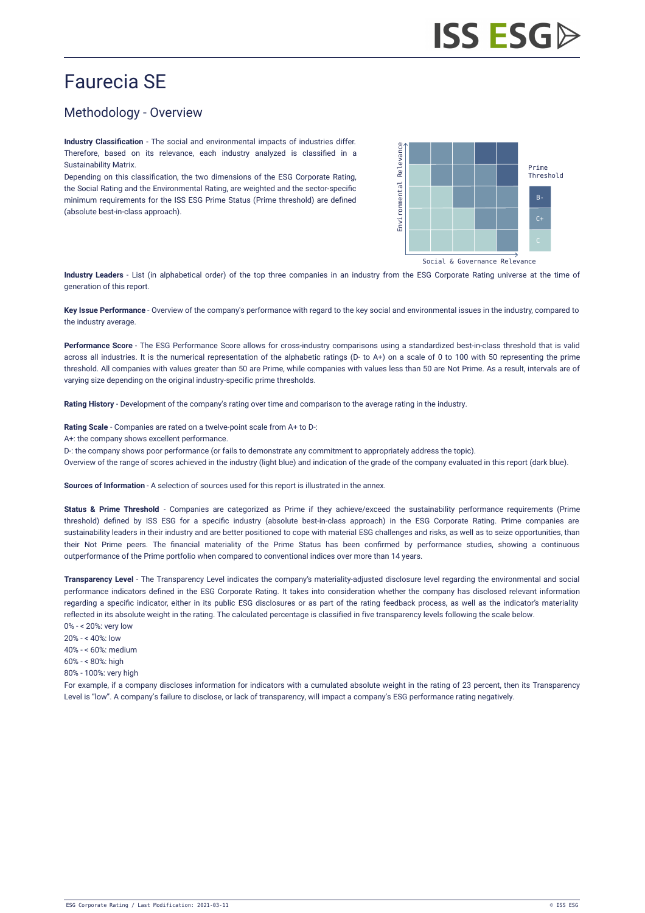## Faurecia SE

## Methodology - Overview

**Industry Classification** - The social and environmental impacts of industries differ. Therefore, based on its relevance, each industry analyzed is classified in a Sustainability Matrix.

Depending on this classification, the two dimensions of the ESG Corporate Rating, the Social Rating and the Environmental Rating, are weighted and the sector-specific minimum requirements for the ISS ESG Prime Status (Prime threshold) are defined (absolute best-in-class approach).



Social & Governance Relevance

**Industry Leaders** - List (in alphabetical order) of the top three companies in an industry from the ESG Corporate Rating universe at the time of generation of this report.

**Key Issue Performance** - Overview of the company's performance with regard to the key social and environmental issues in the industry, compared to the industry average.

**Performance Score** - The ESG Performance Score allows for cross-industry comparisons using a standardized best-in-class threshold that is valid across all industries. It is the numerical representation of the alphabetic ratings (D- to A+) on a scale of 0 to 100 with 50 representing the prime threshold. All companies with values greater than 50 are Prime, while companies with values less than 50 are Not Prime. As a result, intervals are of varying size depending on the original industry-specific prime thresholds.

**Rating History** - Development of the company's rating over time and comparison to the average rating in the industry.

**Rating Scale** - Companies are rated on a twelve-point scale from A+ to D-:

A+: the company shows excellent performance.

D-: the company shows poor performance (or fails to demonstrate any commitment to appropriately address the topic).

Overview of the range of scores achieved in the industry (light blue) and indication of the grade of the company evaluated in this report (dark blue).

**Sources of Information** - A selection of sources used for this report is illustrated in the annex.

**Status & Prime Threshold** - Companies are categorized as Prime if they achieve/exceed the sustainability performance requirements (Prime threshold) defined by ISS ESG for a specific industry (absolute best-in-class approach) in the ESG Corporate Rating. Prime companies are sustainability leaders in their industry and are better positioned to cope with material ESG challenges and risks, as well as to seize opportunities, than their Not Prime peers. The financial materiality of the Prime Status has been confirmed by performance studies, showing a continuous outperformance of the Prime portfolio when compared to conventional indices over more than 14 years.

**Transparency Level** - The Transparency Level indicates the company's materiality-adjusted disclosure level regarding the environmental and social performance indicators defined in the ESG Corporate Rating. It takes into consideration whether the company has disclosed relevant information regarding a specific indicator, either in its public ESG disclosures or as part of the rating feedback process, as well as the indicator's materiality reflected in its absolute weight in the rating. The calculated percentage is classified in five transparency levels following the scale below. 0% - < 20%: very low

- 20% < 40%: low
- 40% < 60%: medium
- $60% 69%$ : high
- 80% 100%: very high

For example, if a company discloses information for indicators with a cumulated absolute weight in the rating of 23 percent, then its Transparency Level is "low". A company's failure to disclose, or lack of transparency, will impact a company's ESG performance rating negatively.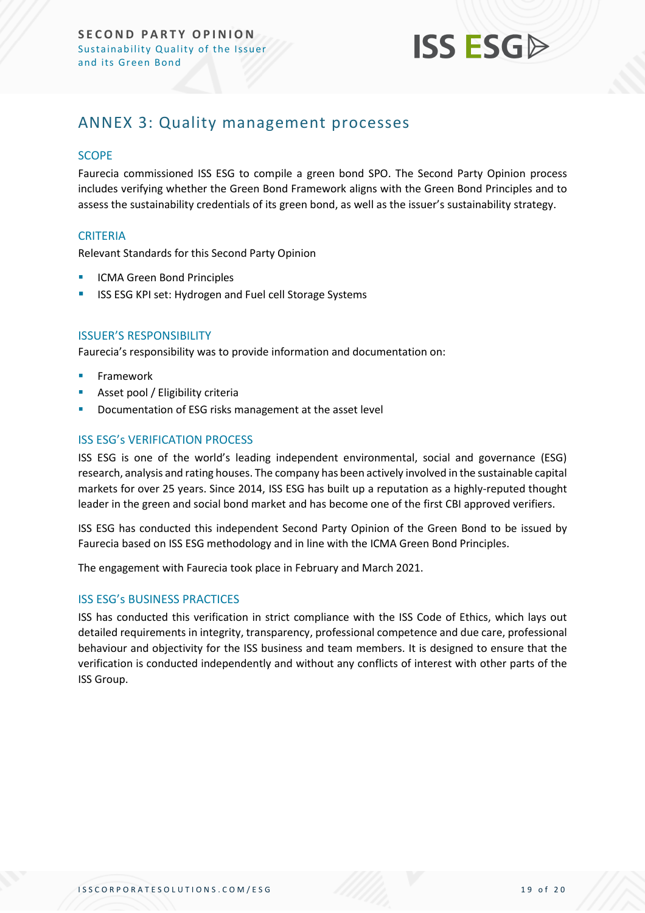

## <span id="page-18-0"></span>ANNEX 3: Quality management processes

#### **SCOPE**

Faurecia commissioned ISS ESG to compile a green bond SPO. The Second Party Opinion process includes verifying whether the Green Bond Framework aligns with the Green Bond Principles and to assess the sustainability credentials of its green bond, as well as the issuer's sustainability strategy.

#### **CRITERIA**

Relevant Standards for this Second Party Opinion

- **ICMA Green Bond Principles**
- ISS ESG KPI set: Hydrogen and Fuel cell Storage Systems

#### ISSUER'S RESPONSIBILITY

Faurecia's responsibility was to provide information and documentation on:

- **Framework**
- Asset pool / Eligibility criteria
- Documentation of ESG risks management at the asset level

#### ISS ESG's VERIFICATION PROCESS

ISS ESG is one of the world's leading independent environmental, social and governance (ESG) research, analysis and rating houses. The company has been actively involved in the sustainable capital markets for over 25 years. Since 2014, ISS ESG has built up a reputation as a highly-reputed thought leader in the green and social bond market and has become one of the first CBI approved verifiers.

ISS ESG has conducted this independent Second Party Opinion of the Green Bond to be issued by Faurecia based on ISS ESG methodology and in line with the ICMA Green Bond Principles.

The engagement with Faurecia took place in February and March 2021.

#### ISS ESG's BUSINESS PRACTICES

ISS has conducted this verification in strict compliance with the ISS Code of Ethics, which lays out detailed requirements in integrity, transparency, professional competence and due care, professional behaviour and objectivity for the ISS business and team members. It is designed to ensure that the verification is conducted independently and without any conflicts of interest with other parts of the ISS Group.